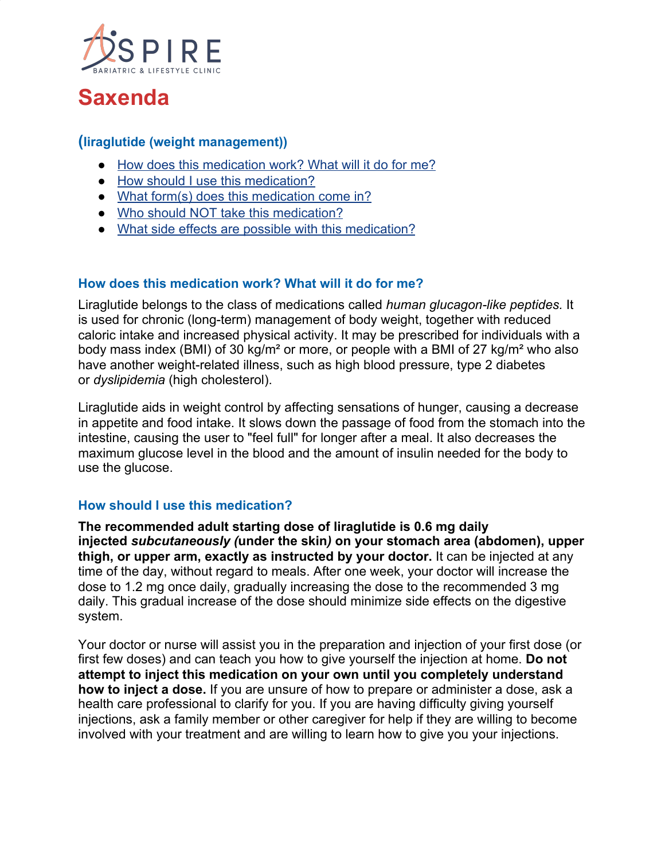

# **Saxenda**

# **(liraglutide (weight management))**

- [How does this medication work? What will it do for me?](https://www.costcopharmacy.ca/HealthInformationDrug.aspx?id=7194#Itemd_Indication)
- [How should I use this medication?](https://www.costcopharmacy.ca/HealthInformationDrug.aspx?id=7194#Itemd_Dosage)
- [What form\(s\) does this medication come in?](https://www.costcopharmacy.ca/HealthInformationDrug.aspx?id=7194#Itemd_AvailableForm)
- [Who should NOT take this medication?](https://www.costcopharmacy.ca/HealthInformationDrug.aspx?id=7194#Itemd_ContraIndications)
- [What side effects are possible with this medication?](https://www.costcopharmacy.ca/HealthInformationDrug.aspx?id=7194#Itemd_AdverseEffects)

#### **How does this medication work? What will it do for me?**

Liraglutide belongs to the class of medications called *human glucagon-like peptides.* It is used for chronic (long-term) management of body weight, together with reduced caloric intake and increased physical activity. It may be prescribed for individuals with a body mass index (BMI) of 30 kg/m² or more, or people with a BMI of 27 kg/m² who also have another weight-related illness, such as high blood pressure, type 2 diabetes or *dyslipidemia* (high cholesterol).

Liraglutide aids in weight control by affecting sensations of hunger, causing a decrease in appetite and food intake. It slows down the passage of food from the stomach into the intestine, causing the user to "feel full" for longer after a meal. It also decreases the maximum glucose level in the blood and the amount of insulin needed for the body to use the glucose.

#### **How should I use this medication?**

**The recommended adult starting dose of liraglutide is 0.6 mg daily injected** *subcutaneously (***under the skin***)* **on your stomach area (abdomen), upper thigh, or upper arm, exactly as instructed by your doctor.** It can be injected at any time of the day, without regard to meals. After one week, your doctor will increase the dose to 1.2 mg once daily, gradually increasing the dose to the recommended 3 mg daily. This gradual increase of the dose should minimize side effects on the digestive system.

Your doctor or nurse will assist you in the preparation and injection of your first dose (or first few doses) and can teach you how to give yourself the injection at home. **Do not attempt to inject this medication on your own until you completely understand how to inject a dose.** If you are unsure of how to prepare or administer a dose, ask a health care professional to clarify for you. If you are having difficulty giving yourself injections, ask a family member or other caregiver for help if they are willing to become involved with your treatment and are willing to learn how to give you your injections.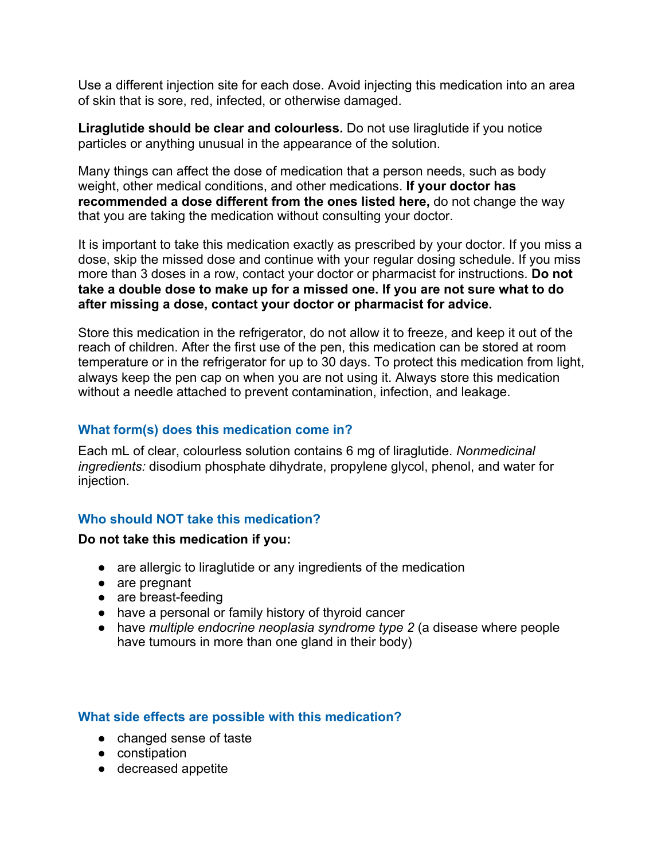Use a different injection site for each dose. Avoid injecting this medication into an area of skin that is sore, red, infected, or otherwise damaged.

**Liraglutide should be clear and colourless.** Do not use liraglutide if you notice particles or anything unusual in the appearance of the solution.

Many things can affect the dose of medication that a person needs, such as body weight, other medical conditions, and other medications. **If your doctor has recommended a dose different from the ones listed here,** do not change the way that you are taking the medication without consulting your doctor.

It is important to take this medication exactly as prescribed by your doctor. If you miss a dose, skip the missed dose and continue with your regular dosing schedule. If you miss more than 3 doses in a row, contact your doctor or pharmacist for instructions. **Do not take a double dose to make up for a missed one. If you are not sure what to do after missing a dose, contact your doctor or pharmacist for advice.**

Store this medication in the refrigerator, do not allow it to freeze, and keep it out of the reach of children. After the first use of the pen, this medication can be stored at room temperature or in the refrigerator for up to 30 days. To protect this medication from light, always keep the pen cap on when you are not using it. Always store this medication without a needle attached to prevent contamination, infection, and leakage.

# **What form(s) does this medication come in?**

Each mL of clear, colourless solution contains 6 mg of liraglutide. *Nonmedicinal ingredients:* disodium phosphate dihydrate, propylene glycol, phenol, and water for injection.

#### **Who should NOT take this medication?**

#### **Do not take this medication if you:**

- are allergic to liraglutide or any ingredients of the medication
- are pregnant
- are breast-feeding
- have a personal or family history of thyroid cancer
- have *multiple endocrine neoplasia syndrome type 2* (a disease where people have tumours in more than one gland in their body)

#### **What side effects are possible with this medication?**

- changed sense of taste
- constipation
- decreased appetite